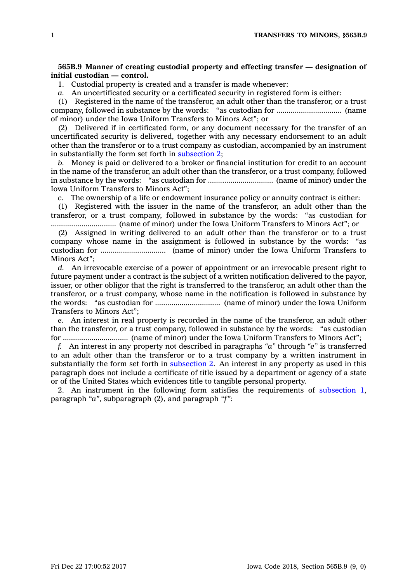## **565B.9 Manner of creating custodial property and effecting transfer — designation of initial custodian — control.**

1. Custodial property is created and <sup>a</sup> transfer is made whenever:

*a.* An uncertificated security or <sup>a</sup> certificated security in registered form is either:

(1) Registered in the name of the transferor, an adult other than the transferor, or <sup>a</sup> trust company, followed in substance by the words: "as custodian for ................................ (name of minor) under the Iowa Uniform Transfers to Minors Act"; or

(2) Delivered if in certificated form, or any document necessary for the transfer of an uncertificated security is delivered, together with any necessary endorsement to an adult other than the transferor or to <sup>a</sup> trust company as custodian, accompanied by an instrument in substantially the form set forth in [subsection](https://www.legis.iowa.gov/docs/code/565B.9.pdf) 2;

*b.* Money is paid or delivered to <sup>a</sup> broker or financial institution for credit to an account in the name of the transferor, an adult other than the transferor, or <sup>a</sup> trust company, followed in substance by the words: "as custodian for ................................ (name of minor) under the Iowa Uniform Transfers to Minors Act";

*c.* The ownership of <sup>a</sup> life or endowment insurance policy or annuity contract is either:

(1) Registered with the issuer in the name of the transferor, an adult other than the transferor, or <sup>a</sup> trust company, followed in substance by the words: "as custodian for ................................ (name of minor) under the Iowa Uniform Transfers to Minors Act"; or

(2) Assigned in writing delivered to an adult other than the transferor or to <sup>a</sup> trust company whose name in the assignment is followed in substance by the words: "as custodian for ................................ (name of minor) under the Iowa Uniform Transfers to Minors Act";

*d.* An irrevocable exercise of <sup>a</sup> power of appointment or an irrevocable present right to future payment under <sup>a</sup> contract is the subject of <sup>a</sup> written notification delivered to the payor, issuer, or other obligor that the right is transferred to the transferor, an adult other than the transferor, or <sup>a</sup> trust company, whose name in the notification is followed in substance by the words: "as custodian for ................................ (name of minor) under the Iowa Uniform Transfers to Minors Act";

*e.* An interest in real property is recorded in the name of the transferor, an adult other than the transferor, or <sup>a</sup> trust company, followed in substance by the words: "as custodian for ................................ (name of minor) under the Iowa Uniform Transfers to Minors Act";

*f.* An interest in any property not described in paragraphs *"a"* through *"e"* is transferred to an adult other than the transferor or to <sup>a</sup> trust company by <sup>a</sup> written instrument in substantially the form set forth in [subsection](https://www.legis.iowa.gov/docs/code/565B.9.pdf) 2. An interest in any property as used in this paragraph does not include <sup>a</sup> certificate of title issued by <sup>a</sup> department or agency of <sup>a</sup> state or of the United States which evidences title to tangible personal property.

2. An instrument in the following form satisfies the requirements of [subsection](https://www.legis.iowa.gov/docs/code/565B.9.pdf) 1, paragraph *"a"*, subparagraph (2), and paragraph *"f"*: